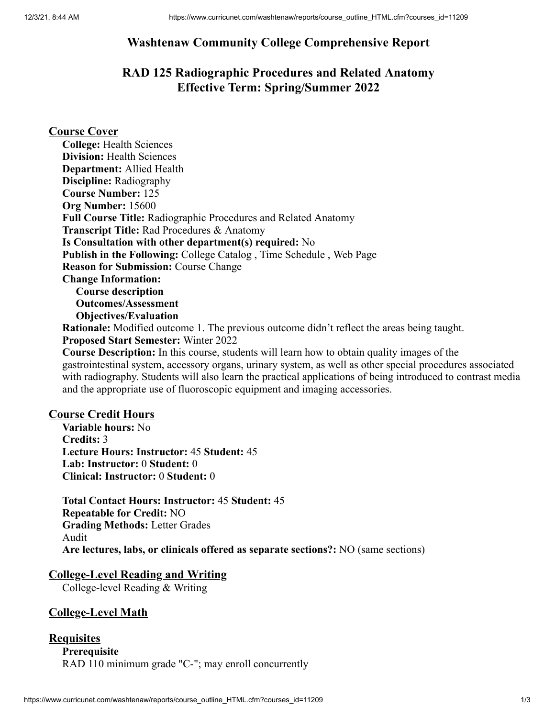# **Washtenaw Community College Comprehensive Report**

# **RAD 125 Radiographic Procedures and Related Anatomy Effective Term: Spring/Summer 2022**

# **Course Cover**

| <b>College: Health Sciences</b>                                                                   |
|---------------------------------------------------------------------------------------------------|
| <b>Division:</b> Health Sciences                                                                  |
| <b>Department:</b> Allied Health                                                                  |
| <b>Discipline:</b> Radiography                                                                    |
| <b>Course Number: 125</b>                                                                         |
| Org Number: 15600                                                                                 |
| <b>Full Course Title: Radiographic Procedures and Related Anatomy</b>                             |
| <b>Transcript Title: Rad Procedures &amp; Anatomy</b>                                             |
| Is Consultation with other department(s) required: No                                             |
| <b>Publish in the Following: College Catalog, Time Schedule, Web Page</b>                         |
| <b>Reason for Submission: Course Change</b>                                                       |
| <b>Change Information:</b>                                                                        |
| <b>Course description</b>                                                                         |
| <b>Outcomes/Assessment</b>                                                                        |
| <b>Objectives/Evaluation</b>                                                                      |
| <b>Rationale:</b> Modified outcome 1. The previous outcome didn't reflect the areas being taught. |
| <b>Proposed Start Semester: Winter 2022</b>                                                       |
|                                                                                                   |

**Course Description:** In this course, students will learn how to obtain quality images of the gastrointestinal system, accessory organs, urinary system, as well as other special procedures associated with radiography. Students will also learn the practical applications of being introduced to contrast media and the appropriate use of fluoroscopic equipment and imaging accessories.

### **Course Credit Hours**

**Variable hours:** No **Credits:** 3 **Lecture Hours: Instructor:** 45 **Student:** 45 **Lab: Instructor:** 0 **Student:** 0 **Clinical: Instructor:** 0 **Student:** 0

**Total Contact Hours: Instructor:** 45 **Student:** 45 **Repeatable for Credit:** NO **Grading Methods:** Letter Grades Audit **Are lectures, labs, or clinicals offered as separate sections?:** NO (same sections)

## **College-Level Reading and Writing**

College-level Reading & Writing

# **College-Level Math**

### **Requisites**

**Prerequisite** RAD 110 minimum grade "C-"; may enroll concurrently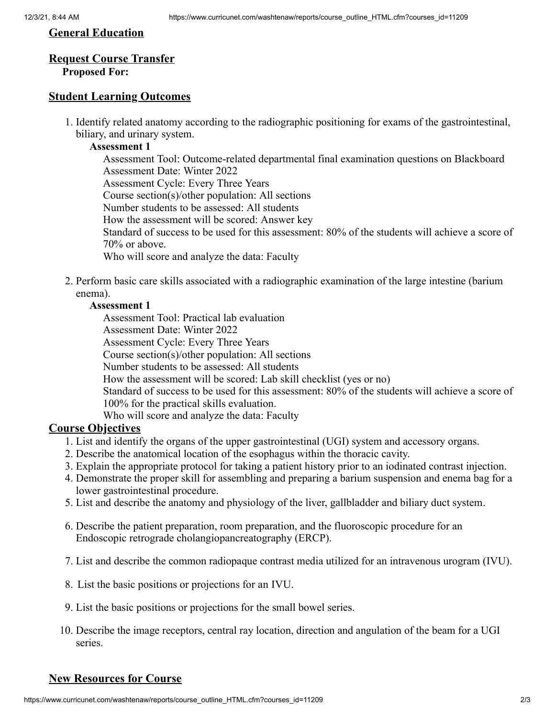### **General Education**

# **Request Course Transfer**

## **Proposed For:**

# **Student Learning Outcomes**

1. Identify related anatomy according to the radiographic positioning for exams of the gastrointestinal, biliary, and urinary system.

### **Assessment 1**

Assessment Tool: Outcome-related departmental final examination questions on Blackboard Assessment Date: Winter 2022 Assessment Cycle: Every Three Years Course section(s)/other population: All sections Number students to be assessed: All students How the assessment will be scored: Answer key Standard of success to be used for this assessment: 80% of the students will achieve a score of 70% or above. Who will score and analyze the data: Faculty

2. Perform basic care skills associated with a radiographic examination of the large intestine (barium enema).

### **Assessment 1**

Assessment Tool: Practical lab evaluation Assessment Date: Winter 2022 Assessment Cycle: Every Three Years Course section(s)/other population: All sections Number students to be assessed: All students How the assessment will be scored: Lab skill checklist (yes or no) Standard of success to be used for this assessment: 80% of the students will achieve a score of 100% for the practical skills evaluation. Who will score and analyze the data: Faculty

# **Course Objectives**

- 1. List and identify the organs of the upper gastrointestinal (UGI) system and accessory organs.
- 2. Describe the anatomical location of the esophagus within the thoracic cavity.
- 3. Explain the appropriate protocol for taking a patient history prior to an iodinated contrast injection.
- 4. Demonstrate the proper skill for assembling and preparing a barium suspension and enema bag for a lower gastrointestinal procedure.
- 5. List and describe the anatomy and physiology of the liver, gallbladder and biliary duct system.
- 6. Describe the patient preparation, room preparation, and the fluoroscopic procedure for an Endoscopic retrograde cholangiopancreatography (ERCP).
- 7. List and describe the common radiopaque contrast media utilized for an intravenous urogram (IVU).
- 8. List the basic positions or projections for an IVU.
- 9. List the basic positions or projections for the small bowel series.
- 10. Describe the image receptors, central ray location, direction and angulation of the beam for a UGI series.

# **New Resources for Course**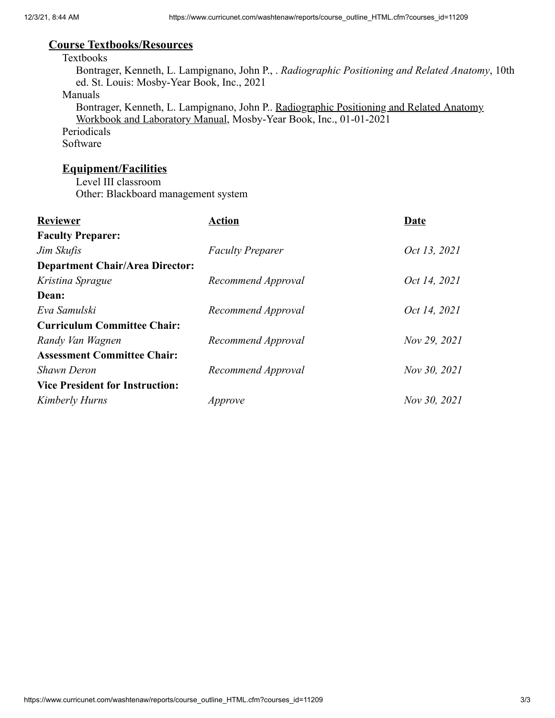## **Course Textbooks/Resources**

#### Textbooks

Bontrager, Kenneth, L. Lampignano, John P., . *Radiographic Positioning and Related Anatomy*, 10th ed. St. Louis: Mosby-Year Book, Inc., 2021

#### Manuals

Bontrager, Kenneth, L. Lampignano, John P.. Radiographic Positioning and Related Anatomy Workbook and Laboratory Manual, Mosby-Year Book, Inc., 01-01-2021

Periodicals Software

# **Equipment/Facilities**

Level III classroom Other: Blackboard management system

| <b>Reviewer</b>                        | Action                  | Date         |
|----------------------------------------|-------------------------|--------------|
| <b>Faculty Preparer:</b>               |                         |              |
| Jim Skufis                             | <b>Faculty Preparer</b> | Oct 13, 2021 |
| <b>Department Chair/Area Director:</b> |                         |              |
| Kristina Sprague                       | Recommend Approval      | Oct 14, 2021 |
| Dean:                                  |                         |              |
| Eva Samulski                           | Recommend Approval      | Oct 14, 2021 |
| <b>Curriculum Committee Chair:</b>     |                         |              |
| Randy Van Wagnen                       | Recommend Approval      | Nov 29, 2021 |
| <b>Assessment Committee Chair:</b>     |                         |              |
| <b>Shawn Deron</b>                     | Recommend Approval      | Nov 30, 2021 |
| <b>Vice President for Instruction:</b> |                         |              |
| Kimberly Hurns                         | Approve                 | Nov 30, 2021 |
|                                        |                         |              |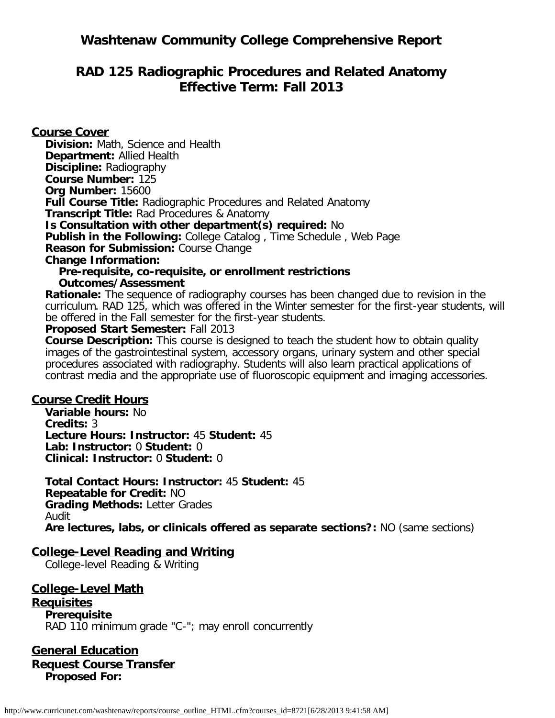# **Washtenaw Community College Comprehensive Report**

# **RAD 125 Radiographic Procedures and Related Anatomy Effective Term: Fall 2013**

**Course Cover Division:** Math, Science and Health **Department:** Allied Health **Discipline:** Radiography **Course Number:** 125 **Org Number:** 15600 **Full Course Title:** Radiographic Procedures and Related Anatomy **Transcript Title:** Rad Procedures & Anatomy **Is Consultation with other department(s) required:** No **Publish in the Following:** College Catalog , Time Schedule , Web Page **Reason for Submission:** Course Change **Change Information: Pre-requisite, co-requisite, or enrollment restrictions Outcomes/Assessment Rationale:** The sequence of radiography courses has been changed due to revision in the

curriculum. RAD 125, which was offered in the Winter semester for the first-year students, will be offered in the Fall semester for the first-year students.

#### **Proposed Start Semester:** Fall 2013

**Course Description:** This course is designed to teach the student how to obtain quality images of the gastrointestinal system, accessory organs, urinary system and other special procedures associated with radiography. Students will also learn practical applications of contrast media and the appropriate use of fluoroscopic equipment and imaging accessories.

#### **Course Credit Hours**

**Variable hours:** No **Credits:** 3 **Lecture Hours: Instructor:** 45 **Student:** 45 **Lab: Instructor:** 0 **Student:** 0 **Clinical: Instructor:** 0 **Student:** 0

**Total Contact Hours: Instructor:** 45 **Student:** 45 **Repeatable for Credit:** NO **Grading Methods:** Letter Grades Audit **Are lectures, labs, or clinicals offered as separate sections?:** NO (same sections)

### **College-Level Reading and Writing**

College-level Reading & Writing

**College-Level Math Requisites Prerequisite** RAD 110 minimum grade "C-"; may enroll concurrently

**General Education Request Course Transfer Proposed For:**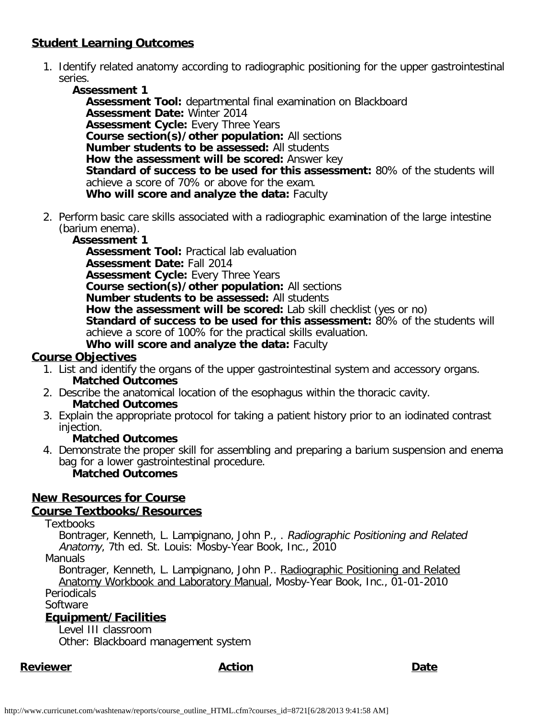# **Student Learning Outcomes**

1. Identify related anatomy according to radiographic positioning for the upper gastrointestinal series.

**Assessment 1 Assessment Tool:** departmental final examination on Blackboard **Assessment Date:** Winter 2014 **Assessment Cycle:** Every Three Years **Course section(s)/other population:** All sections **Number students to be assessed:** All students **How the assessment will be scored:** Answer key **Standard of success to be used for this assessment:** 80% of the students will achieve a score of 70% or above for the exam. **Who will score and analyze the data:** Faculty

2. Perform basic care skills associated with a radiographic examination of the large intestine (barium enema).

# **Assessment 1**

**Assessment Tool:** Practical lab evaluation **Assessment Date:** Fall 2014 **Assessment Cycle: Every Three Years Course section(s)/other population:** All sections **Number students to be assessed:** All students **How the assessment will be scored:** Lab skill checklist (yes or no) **Standard of success to be used for this assessment:** 80% of the students will achieve a score of 100% for the practical skills evaluation. **Who will score and analyze the data:** Faculty

# **Course Objectives**

- 1. List and identify the organs of the upper gastrointestinal system and accessory organs. **Matched Outcomes**
- 2. Describe the anatomical location of the esophagus within the thoracic cavity. **Matched Outcomes**
- 3. Explain the appropriate protocol for taking a patient history prior to an iodinated contrast injection.

# **Matched Outcomes**

4. Demonstrate the proper skill for assembling and preparing a barium suspension and enema bag for a lower gastrointestinal procedure. **Matched Outcomes**

# **New Resources for Course**

# **Course Textbooks/Resources**

## **Textbooks**

Bontrager, Kenneth, L. Lampignano, John P., . Radiographic Positioning and Related Anatomy, 7th ed. St. Louis: Mosby-Year Book, Inc., 2010

Manuals

Bontrager, Kenneth, L. Lampignano, John P.. Radiographic Positioning and Related Anatomy Workbook and Laboratory Manual, Mosby-Year Book, Inc., 01-01-2010 **Periodicals** 

**Software** 

# **Equipment/Facilities**

Level III classroom

Other: Blackboard management system

# **Reviewer Action Date**